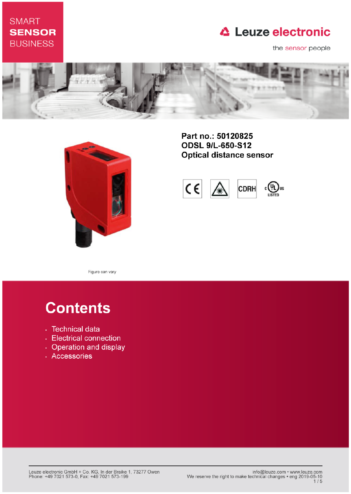## **SMART SENSOR BUSINESS**

# **△ Leuze electronic**

the sensor people





Part no.: 50120825 **ODSL 9/L-650-S12 Optical distance sensor** 



Figure can vary

# **Contents**

- · Technical data
- Electrical connection
- Operation and display
- · Accessories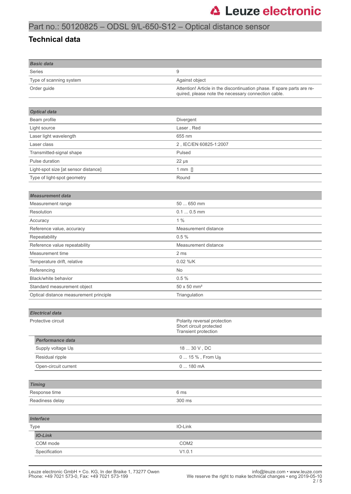## Part no.: 50120825 – ODSL 9/L-650-S12 – Optical distance sensor

#### **Technical data**

| <b>Basic data</b>       |                                                                                                                                |
|-------------------------|--------------------------------------------------------------------------------------------------------------------------------|
| <b>Series</b>           | g                                                                                                                              |
| Type of scanning system | Against object                                                                                                                 |
| Order guide             | Attention! Article in the discontinuation phase. If spare parts are re-<br>quired, please note the necessary connection cable. |

| <b>Optical data</b>                  |                        |
|--------------------------------------|------------------------|
| Beam profile                         | Divergent              |
| Light source                         | Laser, Red             |
| Laser light wavelength               | 655 nm                 |
| Laser class                          | 2, IEC/EN 60825-1:2007 |
| Transmitted-signal shape             | Pulsed                 |
| Pulse duration                       | $22 \mu s$             |
| Light-spot size [at sensor distance] | 1 mm $\Box$            |
| Type of light-spot geometry          | Round                  |
|                                      |                        |

| <b>Measurement data</b>                |                                |
|----------------------------------------|--------------------------------|
| Measurement range                      | 50  650 mm                     |
| Resolution                             | $0.10.5$ mm                    |
| Accuracy                               | 1%                             |
| Reference value, accuracy              | Measurement distance           |
| Repeatability                          | 0.5%                           |
| Reference value repeatability          | Measurement distance           |
| Measurement time                       | 2 ms                           |
| Temperature drift, relative            | 0.02 %/K                       |
| Referencing                            | <b>No</b>                      |
| Black/white behavior                   | 0.5%                           |
| Standard measurement object            | $50 \times 50$ mm <sup>2</sup> |
| Optical distance measurement principle | Triangulation                  |

| <b>Electrical data</b> |                                                                                 |  |  |  |
|------------------------|---------------------------------------------------------------------------------|--|--|--|
| Protective circuit     | Polarity reversal protection<br>Short circuit protected<br>Transient protection |  |  |  |
| Performance data       |                                                                                 |  |  |  |
| Supply voltage UB      | 18  30 V, DC                                                                    |  |  |  |
| Residual ripple        | 0  15 %, From U <sub>B</sub>                                                    |  |  |  |
| Open-circuit current   | 0180mA                                                                          |  |  |  |
|                        |                                                                                 |  |  |  |
| <b>Timing</b>          |                                                                                 |  |  |  |
| Response time          | 6 ms                                                                            |  |  |  |
| Readiness delay        | 300 ms                                                                          |  |  |  |
|                        |                                                                                 |  |  |  |
| <b>Interface</b>       |                                                                                 |  |  |  |
| Type                   | IO-Link                                                                         |  |  |  |
| <b>IO-Link</b>         |                                                                                 |  |  |  |
| COM mode               | COM <sub>2</sub>                                                                |  |  |  |
| Specification          | V1.0.1                                                                          |  |  |  |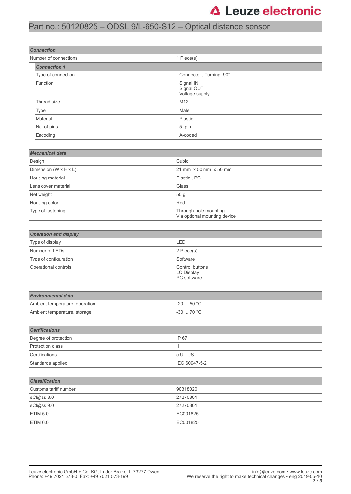# **△ Leuze electronic**

## Part no.: 50120825 – ODSL 9/L-650-S12 – Optical distance sensor

| <b>Connection</b>              |                                                       |  |
|--------------------------------|-------------------------------------------------------|--|
| Number of connections          | 1 Piece(s)                                            |  |
| <b>Connection 1</b>            |                                                       |  |
| Type of connection             | Connector, Turning, 90°                               |  |
| Function                       | Signal IN<br>Signal OUT<br>Voltage supply             |  |
| Thread size                    | M12                                                   |  |
| <b>Type</b>                    | Male                                                  |  |
| Material                       | Plastic                                               |  |
| No. of pins                    | 5-pin                                                 |  |
| Encoding                       | A-coded                                               |  |
|                                |                                                       |  |
| <b>Mechanical data</b>         |                                                       |  |
| Design                         | Cubic                                                 |  |
| Dimension (W x H x L)          | 21 mm x 50 mm x 50 mm                                 |  |
| Housing material               | Plastic, PC                                           |  |
| Lens cover material            | Glass                                                 |  |
| Net weight                     | 50 g                                                  |  |
| Housing color                  | Red                                                   |  |
| Type of fastening              | Through-hole mounting<br>Via optional mounting device |  |
|                                |                                                       |  |
| <b>Operation and display</b>   |                                                       |  |
| Type of display                | LED                                                   |  |
| Number of LEDs                 | 2 Piece(s)                                            |  |
| Type of configuration          | Software                                              |  |
| Operational controls           | Control buttons<br>LC Display<br>PC software          |  |
|                                |                                                       |  |
| <b>Environmental data</b>      |                                                       |  |
| Ambient temperature, operation | 50 °C<br>$-20$                                        |  |
| Ambient temperature, storage   | -30 $\dots$ 70 °C                                     |  |
|                                |                                                       |  |
| <b>Certifications</b>          |                                                       |  |
| Degree of protection           | IP 67                                                 |  |
| Protection class               | Ш                                                     |  |
| Certifications                 | c UL US                                               |  |
| Standards applied              | IEC 60947-5-2                                         |  |
|                                |                                                       |  |
| <b>Classification</b>          |                                                       |  |
| Customs tariff number          | 90318020                                              |  |
| eCl@ss 8.0                     | 27270801                                              |  |
| eCl@ss 9.0                     | 27270801                                              |  |
| <b>ETIM 5.0</b>                | EC001825                                              |  |
| ETIM 6.0                       | EC001825                                              |  |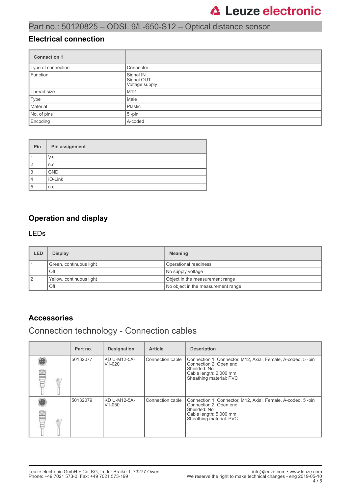## Part no.: 50120825 – ODSL 9/L-650-S12 – Optical distance sensor

#### **Electrical connection**

| <b>Connection 1</b> |                                           |
|---------------------|-------------------------------------------|
| Type of connection  | Connector                                 |
| Function            | Signal IN<br>Signal OUT<br>Voltage supply |
| Thread size         | M <sub>12</sub>                           |
| Type                | Male                                      |
| Material            | Plastic                                   |
| No. of pins         | $5$ -pin                                  |
| Encoding            | A-coded                                   |

| Pin | Pin assignment |
|-----|----------------|
|     | V+             |
| 2   | n.c.           |
| 3   | <b>GND</b>     |
| 4   | IO-Link        |
| 5   | n.c.           |

### **Operation and display**

#### LEDs

| LED | <b>Display</b>           | <b>Meaning</b>                     |
|-----|--------------------------|------------------------------------|
|     | Green, continuous light  | Operational readiness              |
|     | Off                      | No supply voltage                  |
|     | Yellow, continuous light | Object in the measurement range    |
|     | Off                      | No object in the measurement range |

### **Accessories**

### Connection technology - Connection cables

|             | Part no. | <b>Designation</b>         | <b>Article</b>   | <b>Description</b>                                                                                                                                         |
|-------------|----------|----------------------------|------------------|------------------------------------------------------------------------------------------------------------------------------------------------------------|
| W           | 50132077 | KD U-M12-5A-<br>$V1-020$   | Connection cable | Connection 1: Connector, M12, Axial, Female, A-coded, 5-pin<br>Connection 2: Open end<br>Shielded: No<br>Cable length: 2,000 mm<br>Sheathing material: PVC |
| <b>WILL</b> | 50132079 | KD U-M12-5A-<br>$V1 - 050$ | Connection cable | Connection 1: Connector, M12, Axial, Female, A-coded, 5-pin<br>Connection 2: Open end<br>Shielded: No<br>Cable length: 5,000 mm<br>Sheathing material: PVC |